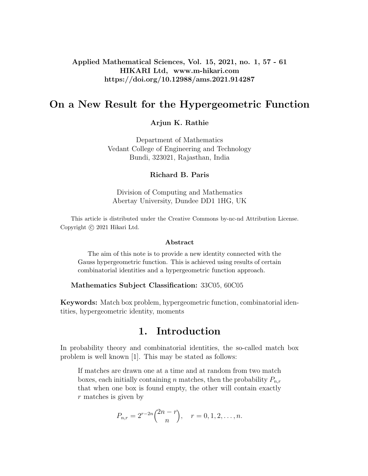## Applied Mathematical Sciences, Vol. 15, 2021, no. 1, 57 - 61 HIKARI Ltd, www.m-hikari.com https://doi.org/10.12988/ams.2021.914287

# On a New Result for the Hypergeometric Function

## Arjun K. Rathie

Department of Mathematics Vedant College of Engineering and Technology Bundi, 323021, Rajasthan, India

### Richard B. Paris

Division of Computing and Mathematics Abertay University, Dundee DD1 1HG, UK

This article is distributed under the Creative Commons by-nc-nd Attribution License. Copyright  $\odot$  2021 Hikari Ltd.

#### Abstract

The aim of this note is to provide a new identity connected with the Gauss hypergeometric function. This is achieved using results of certain combinatorial identities and a hypergeometric function approach.

#### Mathematics Subject Classification: 33C05, 60C05

Keywords: Match box problem, hypergeometric function, combinatorial identities, hypergeometric identity, moments

# 1. Introduction

In probability theory and combinatorial identities, the so-called match box problem is well known [1]. This may be stated as follows:

If matches are drawn one at a time and at random from two match boxes, each initially containing n matches, then the probability  $P_{n,r}$ that when one box is found empty, the other will contain exactly r matches is given by

$$
P_{n,r} = 2^{r-2n} {2n-r \choose n}, \quad r = 0, 1, 2, \dots, n.
$$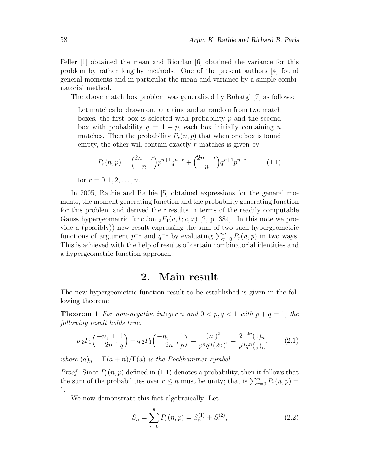Feller [1] obtained the mean and Riordan [6] obtained the variance for this problem by rather lengthy methods. One of the present authors [4] found general moments and in particular the mean and variance by a simple combinatorial method.

The above match box problem was generalised by Rohatgi [7] as follows:

Let matches be drawn one at a time and at random from two match boxes, the first box is selected with probability  $p$  and the second box with probability  $q = 1 - p$ , each box initially containing n matches. Then the probability  $P_r(n, p)$  that when one box is found empty, the other will contain exactly  $r$  matches is given by

$$
P_r(n,p) = \binom{2n-r}{n} p^{n+1} q^{n-r} + \binom{2n-r}{n} q^{n+1} p^{n-r} \tag{1.1}
$$

for  $r = 0, 1, 2, \ldots, n$ .

In 2005, Rathie and Rathie [5] obtained expressions for the general moments, the moment generating function and the probability generating function for this problem and derived their results in terms of the readily computable Gauss hypergeometric function  ${}_2F_1(a, b; c, x)$  [2, p. 384]. In this note we provide a (possibly)) new result expressing the sum of two such hypergeometric functions of argument  $p^{-1}$  and  $q^{-1}$  by evaluating  $\sum_{r=0}^{n} P_r(n, p)$  in two ways. This is achieved with the help of results of certain combinatorial identities and a hypergeometric function approach.

## 2. Main result

The new hypergeometric function result to be established is given in the following theorem:

**Theorem 1** For non-negative integer n and  $0 < p, q < 1$  with  $p + q = 1$ , the following result holds true:

$$
p_2F_1\left(\begin{array}{c} -n, 1, \frac{1}{q} \\ -2n, \frac{1}{q} \end{array}\right) + q_2F_1\left(\begin{array}{c} -n, 1, \frac{1}{p} \\ -2n, \frac{1}{p} \end{array}\right) = \frac{(n!)^2}{p^n q^n (2n)!} = \frac{2^{-2n} (1)_n}{p^n q^n (\frac{1}{2})_n},\tag{2.1}
$$

where  $(a)_n = \Gamma(a+n)/\Gamma(a)$  is the Pochhammer symbol.

*Proof.* Since  $P_r(n, p)$  defined in (1.1) denotes a probability, then it follows that the sum of the probabilities over  $r \leq n$  must be unity; that is  $\sum_{r=0}^{n} P_r(n, p) =$ 1.

We now demonstrate this fact algebraically. Let

$$
S_n = \sum_{r=0}^{n} P_r(n, p) = S_n^{(1)} + S_n^{(2)},
$$
\n(2.2)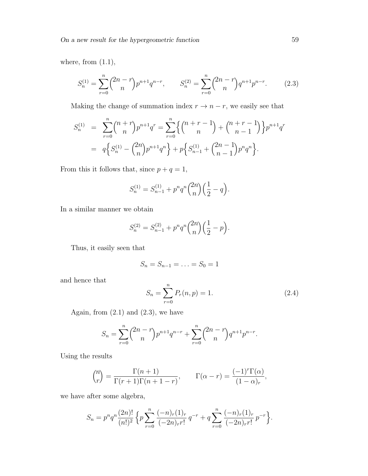where, from  $(1.1)$ ,

$$
S_n^{(1)} = \sum_{r=0}^n \binom{2n-r}{n} p^{n+1} q^{n-r}, \qquad S_n^{(2)} = \sum_{r=0}^n \binom{2n-r}{n} q^{n+1} p^{n-r}.
$$
 (2.3)

Making the change of summation index  $r \to n-r$ , we easily see that

$$
S_n^{(1)} = \sum_{r=0}^n {n+r \choose n} p^{n+1} q^r = \sum_{r=0}^n \left\{ {n+r-1 \choose n} + {n+r-1 \choose n-1} \right\} p^{n+1} q^r
$$
  
=  $q \left\{ S_n^{(1)} - {2n \choose n} p^{n+1} q^n \right\} + p \left\{ S_{n-1}^{(1)} + {2n-1 \choose n-1} p^n q^n \right\}.$ 

From this it follows that, since  $p + q = 1$ ,

$$
S_n^{(1)} = S_{n-1}^{(1)} + p^n q^n {2n \choose n} \left(\frac{1}{2} - q\right).
$$

In a similar manner we obtain

$$
S_n^{(2)} = S_{n-1}^{(2)} + p^n q^n {2n \choose n} \left(\frac{1}{2} - p\right).
$$

Thus, it easily seen that

$$
S_n=S_{n-1}=\ldots=S_0=1
$$

and hence that

$$
S_n = \sum_{r=0}^{n} P_r(n, p) = 1.
$$
 (2.4)

Again, from  $(2.1)$  and  $(2.3)$ , we have

$$
S_n = \sum_{r=0}^n {2n-r \choose n} p^{n+1} q^{n-r} + \sum_{r=0}^n {2n-r \choose n} q^{n+1} p^{n-r}.
$$

Using the results

$$
\binom{n}{r} = \frac{\Gamma(n+1)}{\Gamma(r+1)\Gamma(n+1-r)}, \qquad \Gamma(\alpha-r) = \frac{(-1)^r \Gamma(\alpha)}{(1-\alpha)_r},
$$

we have after some algebra,

$$
S_n = p^n q^n \frac{(2n)!}{(n!)^2} \left\{ p \sum_{r=0}^n \frac{(-n)_r(1)_r}{(-2n)_r r!} q^{-r} + q \sum_{r=0}^n \frac{(-n)_r(1)_r}{(-2n)_r r!} p^{-r} \right\}.
$$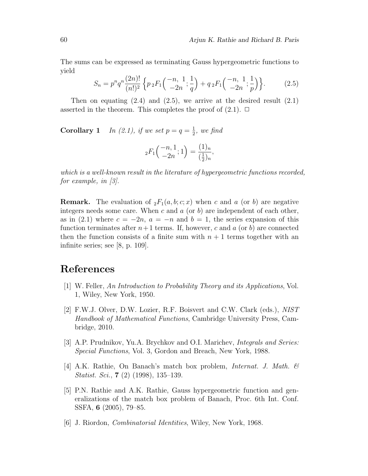The sums can be expressed as terminating Gauss hypergeometric functions to yield

$$
S_n = p^n q^n \frac{(2n)!}{(n!)^2} \left\{ p_2 F_1 \left( \frac{-n}{-2n}; \frac{1}{q} \right) + q_2 F_1 \left( \frac{-n}{-2n}; \frac{1}{p} \right) \right\}.
$$
 (2.5)

Then on equating  $(2.4)$  and  $(2.5)$ , we arrive at the desired result  $(2.1)$ asserted in the theorem. This completes the proof of  $(2.1)$ .  $\Box$ 

**Corollary 1** In (2.1), if we set  $p = q = \frac{1}{2}$  $\frac{1}{2}$ , we find

$$
{}_2F_1\left(\begin{array}{c} -n, 1\\ -2n \end{array}; 1\right) = \frac{(1)_n}{(\frac{1}{2})_n},
$$

which is a well-known result in the literature of hypergeometric functions recorded, for example, in [3].

**Remark.** The evaluation of  $_2F_1(a, b; c; x)$  when c and a (or b) are negative integers needs some care. When c and a (or b) are independent of each other, as in (2.1) where  $c = -2n$ ,  $a = -n$  and  $b = 1$ , the series expansion of this function terminates after  $n+1$  terms. If, however, c and a (or b) are connected then the function consists of a finite sum with  $n + 1$  terms together with an infinite series; see [8, p. 109].

# References

- [1] W. Feller, An Introduction to Probability Theory and its Applications, Vol. 1, Wiley, New York, 1950.
- [2] F.W.J. Olver, D.W. Lozier, R.F. Boisvert and C.W. Clark (eds.), NIST Handbook of Mathematical Functions, Cambridge University Press, Cambridge, 2010.
- [3] A.P. Prudnikov, Yu.A. Brychkov and O.I. Marichev, *Integrals and Series:* Special Functions, Vol. 3, Gordon and Breach, New York, 1988.
- [4] A.K. Rathie, On Banach's match box problem, *Internat. J. Math.*  $\mathcal{B}$ Statist. Sci., 7 (2) (1998), 135–139.
- [5] P.N. Rathie and A.K. Rathie, Gauss hypergeometric function and generalizations of the match box problem of Banach, Proc. 6th Int. Conf. SSFA, 6 (2005), 79–85.
- [6] J. Riordon, Combinatorial Identities, Wiley, New York, 1968.